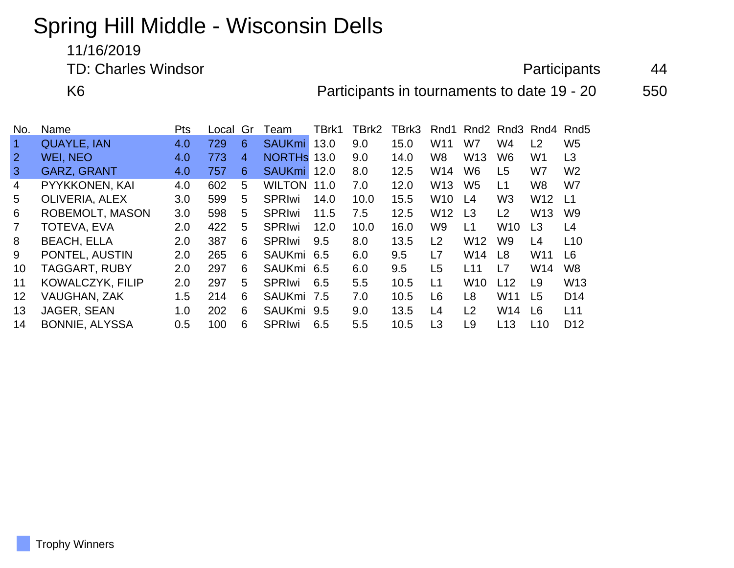## Spring Hill Middle - Wisconsin Dells

11/16/2019

TD: Charles Windsor **And Access 12 Administrative Contract 24** Access 24 Advanced 24 Access 24 Access 24 Access 24

K6 **Participants in tournaments to date 19 - 20** 550

| No.               | Name                  | <b>Pts</b> | Local | Gr | Team          | TBrk1 | TBrk2 | TBrk3 | Rnd1            | Rnd <sub>2</sub> | Rnd3            | Rnd4            | Rnd5            |
|-------------------|-----------------------|------------|-------|----|---------------|-------|-------|-------|-----------------|------------------|-----------------|-----------------|-----------------|
|                   | <b>QUAYLE, IAN</b>    | 4.0        | 729   | 6  | SAUKmi 13.0   |       | 9.0   | 15.0  | W <sub>11</sub> | W7               | W4              | L2              | W <sub>5</sub>  |
|                   | WEI, NEO              | 4.0        | 773   | 4  | NORTHS 13.0   |       | 9.0   | 14.0  | W8              | W <sub>13</sub>  | W <sub>6</sub>  | W <sub>1</sub>  | L <sub>3</sub>  |
| $\mathbf{3}$      | <b>GARZ, GRANT</b>    | 4.0        | 757   | 6  | <b>SAUKmi</b> | 12.0  | 8.0   | 12.5  | W14             | W <sub>6</sub>   | L <sub>5</sub>  | W7              | W <sub>2</sub>  |
| 4                 | PYYKKONEN, KAI        | 4.0        | 602   | 5  | <b>WILTON</b> | 11.0  | 7.0   | 12.0  | W <sub>13</sub> | W <sub>5</sub>   | L1              | W <sub>8</sub>  | W7              |
| 5                 | OLIVERIA, ALEX        | 3.0        | 599   | 5  | <b>SPRIwi</b> | 14.0  | 10.0  | 15.5  | <b>W10</b>      | L <sub>4</sub>   | W <sub>3</sub>  | W <sub>12</sub> | L1              |
| 6                 | ROBEMOLT, MASON       | 3.0        | 598   | 5  | <b>SPRIwi</b> | 11.5  | 7.5   | 12.5  | W <sub>12</sub> | L <sub>3</sub>   | L <sub>2</sub>  | W <sub>13</sub> | W <sub>9</sub>  |
|                   | TOTEVA, EVA           | 2.0        | 422   | 5  | <b>SPRIwi</b> | 12.0  | 10.0  | 16.0  | W9              | L1               | W <sub>10</sub> | L <sub>3</sub>  | L4              |
| 8                 | <b>BEACH, ELLA</b>    | 2.0        | 387   | 6  | <b>SPRIwi</b> | 9.5   | 8.0   | 13.5  | L2              | W <sub>12</sub>  | W <sub>9</sub>  | L4              | L10             |
| 9                 | PONTEL, AUSTIN        | 2.0        | 265   | 6  | SAUKmi 6.5    |       | 6.0   | 9.5   | L7              | W14              | L8              | W <sub>11</sub> | L <sub>6</sub>  |
| 10                | <b>TAGGART, RUBY</b>  | 2.0        | 297   | 6  | SAUKmi 6.5    |       | 6.0   | 9.5   | L5              | L11              | L7              | W14             | W8              |
| 11                | KOWALCZYK, FILIP      | 2.0        | 297   | 5  | <b>SPRIwi</b> | 6.5   | 5.5   | 10.5  | L1              | W <sub>10</sub>  | L12             | L9              | W <sub>13</sub> |
| $12 \overline{ }$ | <b>VAUGHAN, ZAK</b>   | 1.5        | 214   | 6  | <b>SAUKmi</b> | 7.5   | 7.0   | 10.5  | L6              | L <sub>8</sub>   | W <sub>11</sub> | L <sub>5</sub>  | D <sub>14</sub> |
| 13                | JAGER, SEAN           | 1.0        | 202   | 6  | SAUKmi 9.5    |       | 9.0   | 13.5  | L4              | L2               | W14             | L <sub>6</sub>  | L11             |
| 14                | <b>BONNIE, ALYSSA</b> | 0.5        | 100   | 6  | <b>SPRIwi</b> | 6.5   | 5.5   | 10.5  | L <sub>3</sub>  | L9               | L13             | L10             | D <sub>12</sub> |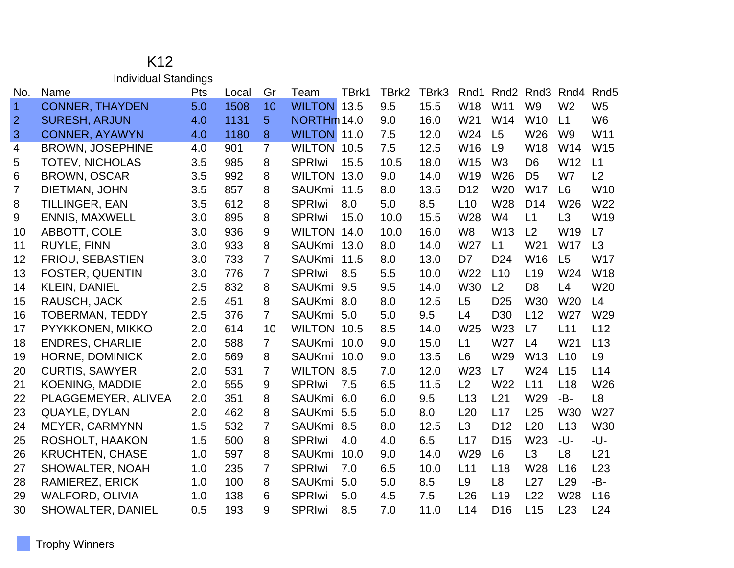## K12 Individual Standings

| No.            | Name                    | Pts | Local | Gr             | Team               | TBrk1 | TBrk2 | TBrk3 | Rnd1            | Rnd <sub>2</sub> | Rnd3            | Rnd4            | Rnd <sub>5</sub> |
|----------------|-------------------------|-----|-------|----------------|--------------------|-------|-------|-------|-----------------|------------------|-----------------|-----------------|------------------|
| $\overline{1}$ | <b>CONNER, THAYDEN</b>  | 5.0 | 1508  | 10             | <b>WILTON 13.5</b> |       | 9.5   | 15.5  | <b>W18</b>      | W11              | W <sub>9</sub>  | W <sub>2</sub>  | W <sub>5</sub>   |
| $\overline{2}$ | <b>SURESH, ARJUN</b>    | 4.0 | 1131  | 5              | NORTHm 14.0        |       | 9.0   | 16.0  | W21             | W14              | W <sub>10</sub> | L1              | W <sub>6</sub>   |
| 3              | <b>CONNER, AYAWYN</b>   | 4.0 | 1180  | 8              | <b>WILTON 11.0</b> |       | 7.5   | 12.0  | W24             | L <sub>5</sub>   | W26             | W <sub>9</sub>  | W11              |
| 4              | <b>BROWN, JOSEPHINE</b> | 4.0 | 901   | $\overline{7}$ | WILTON 10.5        |       | 7.5   | 12.5  | W16             | L <sub>9</sub>   | <b>W18</b>      | W14             | W <sub>15</sub>  |
| 5              | <b>TOTEV, NICHOLAS</b>  | 3.5 | 985   | 8              | <b>SPRIwi</b>      | 15.5  | 10.5  | 18.0  | W <sub>15</sub> | W <sub>3</sub>   | D <sub>6</sub>  | W12             | L1               |
| 6              | <b>BROWN, OSCAR</b>     | 3.5 | 992   | 8              | WILTON 13.0        |       | 9.0   | 14.0  | W19             | W <sub>26</sub>  | D <sub>5</sub>  | W7              | L2               |
| 7              | DIETMAN, JOHN           | 3.5 | 857   | 8              | <b>SAUKmi</b>      | 11.5  | 8.0   | 13.5  | D <sub>12</sub> | W20              | <b>W17</b>      | L <sub>6</sub>  | W <sub>10</sub>  |
| 8              | <b>TILLINGER, EAN</b>   | 3.5 | 612   | 8              | <b>SPRIwi</b>      | 8.0   | 5.0   | 8.5   | L10             | W28              | D <sub>14</sub> | W26             | W22              |
| 9              | <b>ENNIS, MAXWELL</b>   | 3.0 | 895   | 8              | <b>SPRIwi</b>      | 15.0  | 10.0  | 15.5  | W28             | W <sub>4</sub>   | L1              | L3              | W19              |
| 10             | ABBOTT, COLE            | 3.0 | 936   | 9              | WILTON 14.0        |       | 10.0  | 16.0  | W <sub>8</sub>  | W13              | L <sub>2</sub>  | W19             | L7               |
| 11             | <b>RUYLE, FINN</b>      | 3.0 | 933   | 8              | SAUKmi 13.0        |       | 8.0   | 14.0  | W27             | L1               | W21             | <b>W17</b>      | L3               |
| 12             | FRIOU, SEBASTIEN        | 3.0 | 733   | $\overline{7}$ | <b>SAUKmi</b>      | 11.5  | 8.0   | 13.0  | D7              | D <sub>24</sub>  | W16             | L5              | <b>W17</b>       |
| 13             | FOSTER, QUENTIN         | 3.0 | 776   | $\overline{7}$ | <b>SPRIwi</b>      | 8.5   | 5.5   | 10.0  | W22             | L10              | L <sub>19</sub> | W24             | <b>W18</b>       |
| 14             | <b>KLEIN, DANIEL</b>    | 2.5 | 832   | 8              | <b>SAUKmi</b>      | 9.5   | 9.5   | 14.0  | W30             | L2               | D <sub>8</sub>  | L4              | W20              |
| 15             | RAUSCH, JACK            | 2.5 | 451   | 8              | <b>SAUKmi</b>      | 8.0   | 8.0   | 12.5  | L5              | D <sub>25</sub>  | W30             | W20             | L4               |
| 16             | <b>TOBERMAN, TEDDY</b>  | 2.5 | 376   | $\overline{7}$ | <b>SAUKmi</b>      | 5.0   | 5.0   | 9.5   | L4              | D <sub>30</sub>  | L12             | W27             | W29              |
| 17             | PYYKKONEN, MIKKO        | 2.0 | 614   | 10             | WILTON 10.5        |       | 8.5   | 14.0  | W25             | W23              | L7              | L11             | L12              |
| 18             | <b>ENDRES, CHARLIE</b>  | 2.0 | 588   | $\overline{7}$ | SAUKmi 10.0        |       | 9.0   | 15.0  | L1              | W27              | L4              | W21             | L13              |
| 19             | HORNE, DOMINICK         | 2.0 | 569   | 8              | <b>SAUKmi</b>      | 10.0  | 9.0   | 13.5  | L <sub>6</sub>  | W29              | W13             | L10             | L <sub>9</sub>   |
| 20             | <b>CURTIS, SAWYER</b>   | 2.0 | 531   | $\overline{7}$ | <b>WILTON 8.5</b>  |       | 7.0   | 12.0  | W23             | L7               | W24             | L15             | L14              |
| 21             | <b>KOENING, MADDIE</b>  | 2.0 | 555   | 9              | <b>SPRIwi</b>      | 7.5   | 6.5   | 11.5  | L2              | W22              | L11             | L <sub>18</sub> | W26              |
| 22             | PLAGGEMEYER, ALIVEA     | 2.0 | 351   | 8              | <b>SAUKmi</b>      | 6.0   | 6.0   | 9.5   | L13             | L21              | W29             | $-B-$           | L <sub>8</sub>   |
| 23             | QUAYLE, DYLAN           | 2.0 | 462   | 8              | <b>SAUKmi</b>      | 5.5   | 5.0   | 8.0   | L20             | L17              | L25             | W30             | W27              |
| 24             | <b>MEYER, CARMYNN</b>   | 1.5 | 532   | $\overline{7}$ | <b>SAUKmi</b>      | 8.5   | 8.0   | 12.5  | L3              | D <sub>12</sub>  | L20             | L13             | W30              |
| 25             | ROSHOLT, HAAKON         | 1.5 | 500   | 8              | <b>SPRIwi</b>      | 4.0   | 4.0   | 6.5   | L17             | D <sub>15</sub>  | W23             | -U-             | -U-              |
| 26             | <b>KRUCHTEN, CHASE</b>  | 1.0 | 597   | 8              | <b>SAUKmi</b>      | 10.0  | 9.0   | 14.0  | W29             | L <sub>6</sub>   | L3              | L <sub>8</sub>  | L21              |
| 27             | <b>SHOWALTER, NOAH</b>  | 1.0 | 235   | $\overline{7}$ | <b>SPRIwi</b>      | 7.0   | 6.5   | 10.0  | L11             | L18              | W28             | L16             | L23              |
| 28             | <b>RAMIEREZ, ERICK</b>  | 1.0 | 100   | 8              | <b>SAUKmi</b>      | 5.0   | 5.0   | 8.5   | L <sub>9</sub>  | L <sub>8</sub>   | L27             | L29             | -B-              |
| 29             | <b>WALFORD, OLIVIA</b>  | 1.0 | 138   | 6              | <b>SPRIwi</b>      | 5.0   | 4.5   | 7.5   | L26             | L19              | L22             | W28             | L16              |
| 30             | SHOWALTER, DANIEL       | 0.5 | 193   | 9              | <b>SPRIwi</b>      | 8.5   | 7.0   | 11.0  | L14             | D <sub>16</sub>  | L15             | L23             | L24              |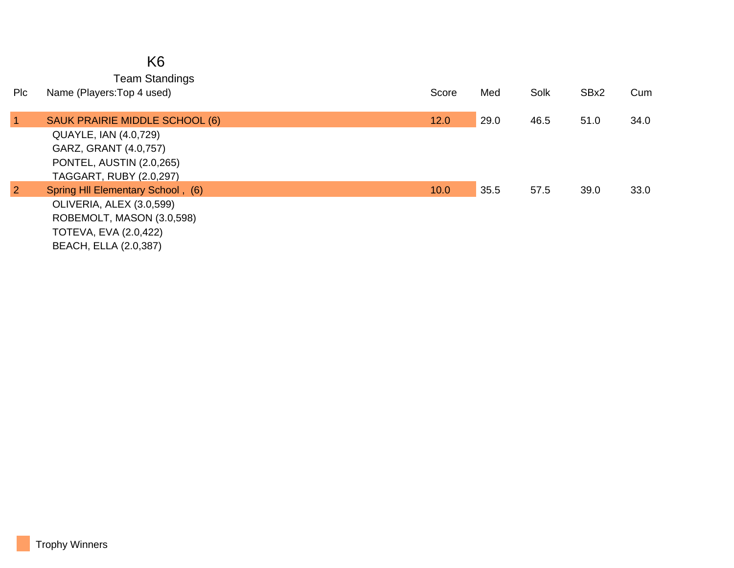|                | K <sub>6</sub>                                                                                        |       |      |      |      |      |
|----------------|-------------------------------------------------------------------------------------------------------|-------|------|------|------|------|
| Plc            | <b>Team Standings</b><br>Name (Players: Top 4 used)                                                   | Score | Med  | Solk | SBx2 | Cum  |
| $\overline{1}$ | SAUK PRAIRIE MIDDLE SCHOOL (6)                                                                        | 12.0  | 29.0 | 46.5 | 51.0 | 34.0 |
|                | QUAYLE, IAN (4.0,729)<br>GARZ, GRANT (4.0,757)<br>PONTEL, AUSTIN (2.0,265)<br>TAGGART, RUBY (2.0,297) |       |      |      |      |      |
| $\overline{2}$ | Spring HII Elementary School, (6)                                                                     | 10.0  | 35.5 | 57.5 | 39.0 | 33.0 |
|                | OLIVERIA, ALEX (3.0,599)                                                                              |       |      |      |      |      |
|                | ROBEMOLT, MASON (3.0,598)                                                                             |       |      |      |      |      |
|                | <b>TOTEVA, EVA (2.0,422)</b>                                                                          |       |      |      |      |      |
|                | <b>BEACH, ELLA (2.0,387)</b>                                                                          |       |      |      |      |      |